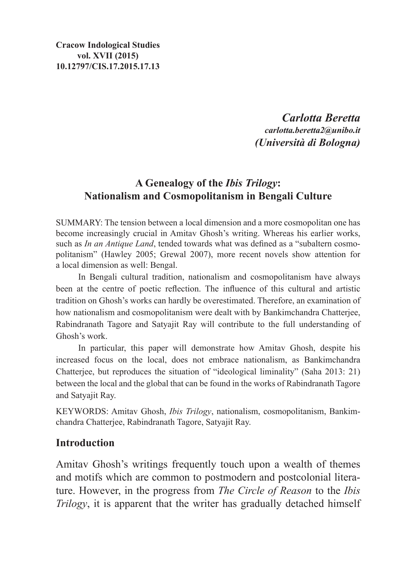*Carlotta Beretta carlotta.beretta2@unibo.it (Università di Bologna)*

# **A Genealogy of the** *Ibis Trilogy***: Nationalism and Cosmopolitanism in Bengali Culture**

SUMMARY: The tension between a local dimension and a more cosmopolitan one has become increasingly crucial in Amitav Ghosh's writing. Whereas his earlier works, such as *In an Antique Land*, tended towards what was defined as a "subaltern cosmopolitanism" (Hawley 2005; Grewal 2007), more recent novels show attention for a local dimension as well: Bengal.

In Bengali cultural tradition, nationalism and cosmopolitanism have always been at the centre of poetic reflection. The influence of this cultural and artistic tradition on Ghosh's works can hardly be overestimated. Therefore, an examination of how nationalism and cosmopolitanism were dealt with by Bankimchandra Chatterjee, Rabindranath Tagore and Satyajit Ray will contribute to the full understanding of Ghosh's work.

In particular, this paper will demonstrate how Amitav Ghosh, despite his increased focus on the local, does not embrace nationalism, as Bankimchandra Chatterjee, but reproduces the situation of "ideological liminality" (Saha 2013: 21) between the local and the global that can be found in the works of Rabindranath Tagore and Satyajit Ray.

KEYWORDS: Amitav Ghosh, *Ibis Trilogy*, nationalism, cosmopolitanism, Bankimchandra Chatterjee, Rabindranath Tagore, Satyajit Ray.

#### **Introduction**

Amitav Ghosh's writings frequently touch upon a wealth of themes and motifs which are common to postmodern and postcolonial literature. However, in the progress from *The Circle of Reason* to the *Ibis Trilogy*, it is apparent that the writer has gradually detached himself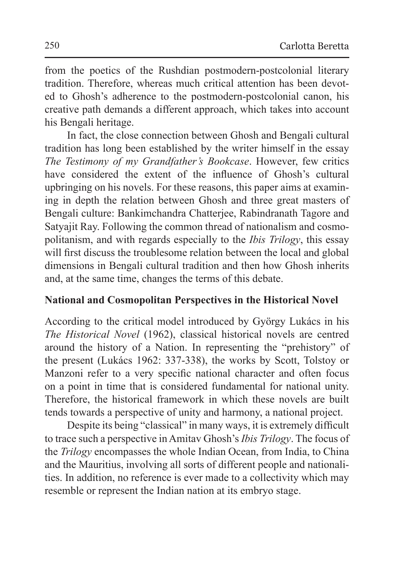from the poetics of the Rushdian postmodern-postcolonial literary tradition. Therefore, whereas much critical attention has been devoted to Ghosh's adherence to the postmodern-postcolonial canon, his creative path demands a different approach, which takes into account his Bengali heritage.

In fact, the close connection between Ghosh and Bengali cultural tradition has long been established by the writer himself in the essay *The Testimony of my Grandfather's Bookcase*. However, few critics have considered the extent of the influence of Ghosh's cultural upbringing on his novels. For these reasons, this paper aims at examining in depth the relation between Ghosh and three great masters of Bengali culture: Bankimchandra Chatterjee, Rabindranath Tagore and Satyajit Ray. Following the common thread of nationalism and cosmopolitanism, and with regards especially to the *Ibis Trilogy*, this essay will first discuss the troublesome relation between the local and global dimensions in Bengali cultural tradition and then how Ghosh inherits and, at the same time, changes the terms of this debate.

### **National and Cosmopolitan Perspectives in the Historical Novel**

According to the critical model introduced by György Lukács in his *The Historical Novel* (1962), classical historical novels are centred around the history of a Nation. In representing the "prehistory" of the present (Lukács 1962: 337-338), the works by Scott, Tolstoy or Manzoni refer to a very specific national character and often focus on a point in time that is considered fundamental for national unity. Therefore, the historical framework in which these novels are built tends towards a perspective of unity and harmony, a national project.

Despite its being "classical" in many ways, it is extremely difficult to trace such a perspective inAmitav Ghosh's *Ibis Trilogy*. The focus of the *Trilogy* encompasses the whole Indian Ocean, from India, to China and the Mauritius, involving all sorts of different people and nationalities. In addition, no reference is ever made to a collectivity which may resemble or represent the Indian nation at its embryo stage.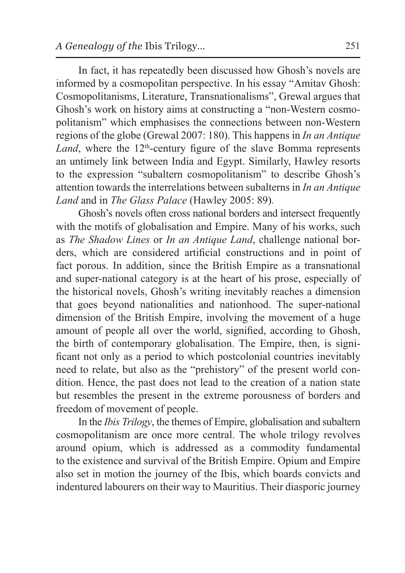In fact, it has repeatedly been discussed how Ghosh's novels are informed by a cosmopolitan perspective. In his essay "Amitav Ghosh: Cosmopolitanisms, Literature, Transnationalisms", Grewal argues that Ghosh's work on history aims at constructing a "non-Western cosmopolitanism" which emphasises the connections between non-Western regions of the globe (Grewal 2007: 180). This happens in *In an Antique Land*, where the  $12<sup>th</sup>$ -century figure of the slave Bomma represents an untimely link between India and Egypt. Similarly, Hawley resorts to the expression "subaltern cosmopolitanism" to describe Ghosh's attention towards the interrelations between subalterns in *In an Antique Land* and in *The Glass Palace* (Hawley 2005: 89)*.*

Ghosh's novels often cross national borders and intersect frequently with the motifs of globalisation and Empire. Many of his works, such as *The Shadow Lines* or *In an Antique Land*, challenge national borders, which are considered artificial constructions and in point of fact porous. In addition, since the British Empire as a transnational and super-national category is at the heart of his prose, especially of the historical novels, Ghosh's writing inevitably reaches a dimension that goes beyond nationalities and nationhood. The super-national dimension of the British Empire, involving the movement of a huge amount of people all over the world, signified, according to Ghosh, the birth of contemporary globalisation. The Empire, then, is significant not only as a period to which postcolonial countries inevitably need to relate, but also as the "prehistory" of the present world condition. Hence, the past does not lead to the creation of a nation state but resembles the present in the extreme porousness of borders and freedom of movement of people.

In the *Ibis Trilogy*, the themes of Empire, globalisation and subaltern cosmopolitanism are once more central. The whole trilogy revolves around opium, which is addressed as a commodity fundamental to the existence and survival of the British Empire. Opium and Empire also set in motion the journey of the Ibis, which boards convicts and indentured labourers on their way to Mauritius. Their diasporic journey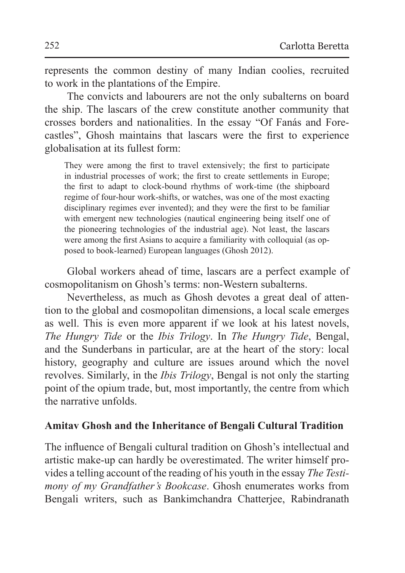represents the common destiny of many Indian coolies, recruited to work in the plantations of the Empire.

The convicts and labourers are not the only subalterns on board the ship. The lascars of the crew constitute another community that crosses borders and nationalities. In the essay "Of Fanás and Forecastles", Ghosh maintains that lascars were the first to experience globalisation at its fullest form:

They were among the first to travel extensively; the first to participate in industrial processes of work; the first to create settlements in Europe; the first to adapt to clock-bound rhythms of work-time (the shipboard regime of four-hour work-shifts, or watches, was one of the most exacting disciplinary regimes ever invented); and they were the first to be familiar with emergent new technologies (nautical engineering being itself one of the pioneering technologies of the industrial age). Not least, the lascars were among the first Asians to acquire a familiarity with colloquial (as opposed to book-learned) European languages (Ghosh 2012).

Global workers ahead of time, lascars are a perfect example of cosmopolitanism on Ghosh's terms: non-Western subalterns.

Nevertheless, as much as Ghosh devotes a great deal of attention to the global and cosmopolitan dimensions, a local scale emerges as well. This is even more apparent if we look at his latest novels, *The Hungry Tide* or the *Ibis Trilogy*. In *The Hungry Tide*, Bengal, and the Sunderbans in particular, are at the heart of the story: local history, geography and culture are issues around which the novel revolves. Similarly, in the *Ibis Trilogy*, Bengal is not only the starting point of the opium trade, but, most importantly, the centre from which the narrative unfolds.

#### **Amitav Ghosh and the Inheritance of Bengali Cultural Tradition**

The influence of Bengali cultural tradition on Ghosh's intellectual and artistic make-up can hardly be overestimated. The writer himself provides a telling account of the reading of his youth in the essay *The Testimony of my Grandfather's Bookcase*. Ghosh enumerates works from Bengali writers, such as Bankimchandra Chatterjee, Rabindranath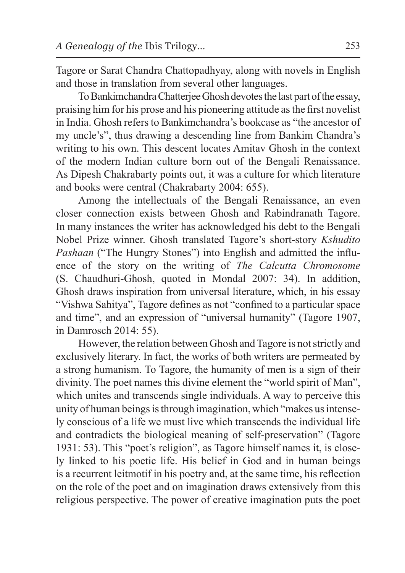Tagore or Sarat Chandra Chattopadhyay, along with novels in English and those in translation from several other languages.

To Bankimchandra Chatterjee Ghosh devotes the last part of the essay, praising him for his prose and his pioneering attitude asthe first novelist in India. Ghosh refers to Bankimchandra's bookcase as "the ancestor of my uncle's", thus drawing a descending line from Bankim Chandra's writing to his own. This descent locates Amitav Ghosh in the context of the modern Indian culture born out of the Bengali Renaissance. As Dipesh Chakrabarty points out, it was a culture for which literature and books were central (Chakrabarty 2004: 655).

Among the intellectuals of the Bengali Renaissance, an even closer connection exists between Ghosh and Rabindranath Tagore. In many instances the writer has acknowledged his debt to the Bengali Nobel Prize winner. Ghosh translated Tagore's short-story *Kshudito Pashaan* ("The Hungry Stones") into English and admitted the influence of the story on the writing of *The Calcutta Chromosome* (S. Chaudhuri-Ghosh, quoted in Mondal 2007: 34). In addition, Ghosh draws inspiration from universal literature, which, in his essay "Vishwa Sahitya", Tagore defines as not "confined to a particular space and time", and an expression of "universal humanity" (Tagore 1907, in Damrosch 2014: 55).

However, the relation between Ghosh and Tagore is not strictly and exclusively literary. In fact, the works of both writers are permeated by a strong humanism. To Tagore, the humanity of men is a sign of their divinity. The poet names this divine element the "world spirit of Man", which unites and transcends single individuals. A way to perceive this unity of human beings isthrough imagination, which "makes us intensely conscious of a life we must live which transcends the individual life and contradicts the biological meaning of self-preservation" (Tagore 1931: 53). This "poet's religion", as Tagore himself names it, is closely linked to his poetic life. His belief in God and in human beings is a recurrent leitmotif in his poetry and, at the same time, his reflection on the role of the poet and on imagination draws extensively from this religious perspective. The power of creative imagination puts the poet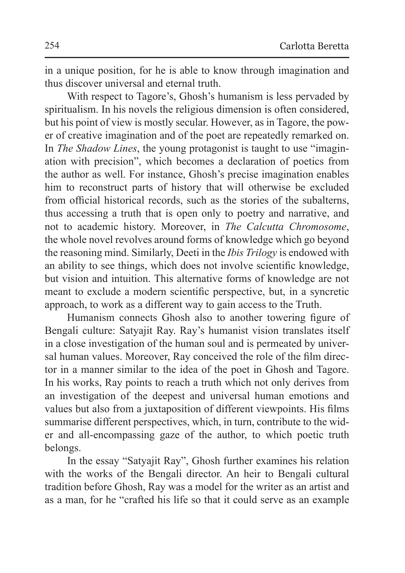in a unique position, for he is able to know through imagination and thus discover universal and eternal truth.

With respect to Tagore's, Ghosh's humanism is less pervaded by spiritualism. In his novels the religious dimension is often considered, but his point of view is mostly secular. However, as in Tagore, the power of creative imagination and of the poet are repeatedly remarked on. In *The Shadow Lines*, the young protagonist is taught to use "imagination with precision", which becomes a declaration of poetics from the author as well. For instance, Ghosh's precise imagination enables him to reconstruct parts of history that will otherwise be excluded from official historical records, such as the stories of the subalterns, thus accessing a truth that is open only to poetry and narrative, and not to academic history. Moreover, in *The Calcutta Chromosome*, the whole novel revolves around forms of knowledge which go beyond the reasoning mind. Similarly, Deeti in the *Ibis Trilogy* is endowed with an ability to see things, which does not involve scientific knowledge, but vision and intuition. This alternative forms of knowledge are not meant to exclude a modern scientific perspective, but, in a syncretic approach, to work as a different way to gain access to the Truth.

Humanism connects Ghosh also to another towering figure of Bengali culture: Satyajit Ray. Ray's humanist vision translates itself in a close investigation of the human soul and is permeated by universal human values. Moreover, Ray conceived the role of the film director in a manner similar to the idea of the poet in Ghosh and Tagore. In his works, Ray points to reach a truth which not only derives from an investigation of the deepest and universal human emotions and values but also from a juxtaposition of different viewpoints. His films summarise different perspectives, which, in turn, contribute to the wider and all-encompassing gaze of the author, to which poetic truth belongs.

In the essay "Satyajit Ray", Ghosh further examines his relation with the works of the Bengali director. An heir to Bengali cultural tradition before Ghosh, Ray was a model for the writer as an artist and as a man, for he "crafted his life so that it could serve as an example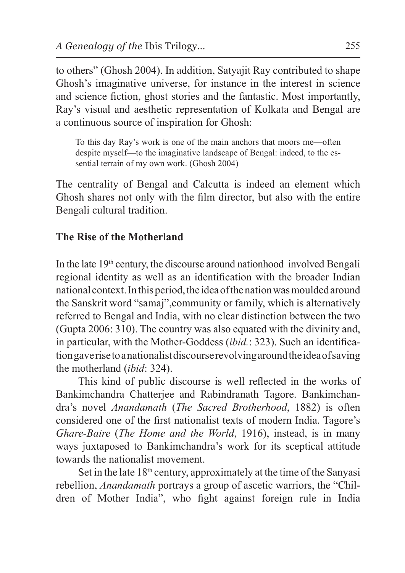to others" (Ghosh 2004). In addition, Satyajit Ray contributed to shape Ghosh's imaginative universe, for instance in the interest in science and science fiction, ghost stories and the fantastic. Most importantly, Ray's visual and aesthetic representation of Kolkata and Bengal are a continuous source of inspiration for Ghosh:

To this day Ray's work is one of the main anchors that moors me—often despite myself—to the imaginative landscape of Bengal: indeed, to the essential terrain of my own work. (Ghosh 2004)

The centrality of Bengal and Calcutta is indeed an element which Ghosh shares not only with the film director, but also with the entire Bengali cultural tradition.

# **The Rise of the Motherland**

In the late 19<sup>th</sup> century, the discourse around nationhood involved Bengali regional identity as well as an identification with the broader Indian national context. Inthis period, theidea of thenation was moulded around the Sanskrit word "samaj",community or family, which is alternatively referred to Bengal and India, with no clear distinction between the two (Gupta 2006: 310). The country was also equated with the divinity and, in particular, with the Mother-Goddess (*ibid.*: 323). Such an identification gave rise toanationalist discourse revolving around theidea of saving the motherland (*ibid*: 324).

This kind of public discourse is well reflected in the works of Bankimchandra Chatterjee and Rabindranath Tagore. Bankimchandra's novel *Anandamath* (*The Sacred Brotherhood*, 1882) is often considered one of the first nationalist texts of modern India. Tagore's *Ghare-Baire* (*The Home and the World*, 1916), instead, is in many ways juxtaposed to Bankimchandra's work for its sceptical attitude towards the nationalist movement.

Set in the late 18<sup>th</sup> century, approximately at the time of the Sanyasi rebellion, *Anandamath* portrays a group of ascetic warriors, the "Children of Mother India", who fight against foreign rule in India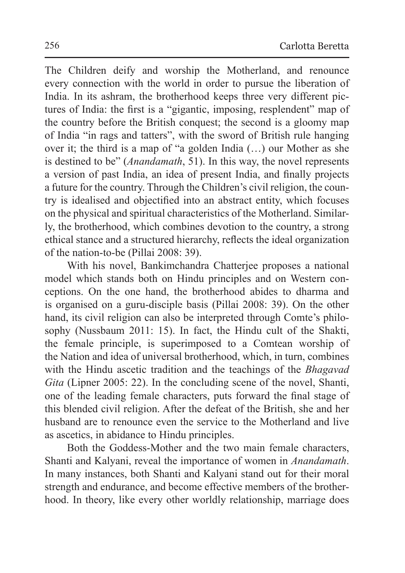The Children deify and worship the Motherland, and renounce every connection with the world in order to pursue the liberation of India. In its ashram, the brotherhood keeps three very different pictures of India: the first is a "gigantic, imposing, resplendent" map of the country before the British conquest; the second is a gloomy map of India "in rags and tatters", with the sword of British rule hanging over it; the third is a map of "a golden India (…) our Mother as she is destined to be" (*Anandamath*, 51). In this way, the novel represents a version of past India, an idea of present India, and finally projects a future for the country. Through the Children's civil religion, the country is idealised and objectified into an abstract entity, which focuses on the physical and spiritual characteristics of the Motherland. Similarly, the brotherhood, which combines devotion to the country, a strong ethical stance and a structured hierarchy, reflects the ideal organization of the nation-to-be (Pillai 2008: 39).

With his novel, Bankimchandra Chatterjee proposes a national model which stands both on Hindu principles and on Western conceptions. On the one hand, the brotherhood abides to dharma and is organised on a guru-disciple basis (Pillai 2008: 39). On the other hand, its civil religion can also be interpreted through Comte's philosophy (Nussbaum 2011: 15). In fact, the Hindu cult of the Shakti, the female principle, is superimposed to a Comtean worship of the Nation and idea of universal brotherhood, which, in turn, combines with the Hindu ascetic tradition and the teachings of the *Bhagavad Gita* (Lipner 2005: 22). In the concluding scene of the novel, Shanti, one of the leading female characters, puts forward the final stage of this blended civil religion. After the defeat of the British, she and her husband are to renounce even the service to the Motherland and live as ascetics, in abidance to Hindu principles.

Both the Goddess-Mother and the two main female characters, Shanti and Kalyani, reveal the importance of women in *Anandamath*. In many instances, both Shanti and Kalyani stand out for their moral strength and endurance, and become effective members of the brotherhood. In theory, like every other worldly relationship, marriage does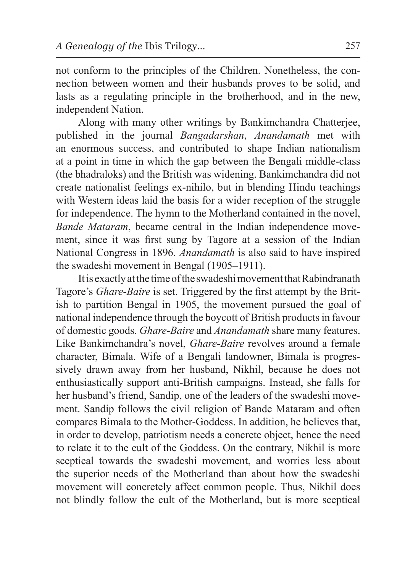not conform to the principles of the Children. Nonetheless, the connection between women and their husbands proves to be solid, and lasts as a regulating principle in the brotherhood, and in the new, independent Nation.

Along with many other writings by Bankimchandra Chatterjee, published in the journal *Bangadarshan*, *Anandamath* met with an enormous success, and contributed to shape Indian nationalism at a point in time in which the gap between the Bengali middle-class (the bhadraloks) and the British was widening. Bankimchandra did not create nationalist feelings ex-nihilo, but in blending Hindu teachings with Western ideas laid the basis for a wider reception of the struggle for independence. The hymn to the Motherland contained in the novel, *Bande Mataram*, became central in the Indian independence movement, since it was first sung by Tagore at a session of the Indian National Congress in 1896. *Anandamath* is also said to have inspired the swadeshi movement in Bengal (1905–1911).

It is exactly atthe time of the swadeshi movement that Rabindranath Tagore's *Ghare-Baire* is set. Triggered by the first attempt by the British to partition Bengal in 1905, the movement pursued the goal of national independence through the boycott of British products in favour of domestic goods. *Ghare-Baire* and *Anandamath* share many features. Like Bankimchandra's novel, *Ghare-Baire* revolves around a female character, Bimala. Wife of a Bengali landowner, Bimala is progressively drawn away from her husband, Nikhil, because he does not enthusiastically support anti-British campaigns. Instead, she falls for her husband's friend, Sandip, one of the leaders of the swadeshi movement. Sandip follows the civil religion of Bande Mataram and often compares Bimala to the Mother-Goddess. In addition, he believes that, in order to develop, patriotism needs a concrete object, hence the need to relate it to the cult of the Goddess. On the contrary, Nikhil is more sceptical towards the swadeshi movement, and worries less about the superior needs of the Motherland than about how the swadeshi movement will concretely affect common people. Thus, Nikhil does not blindly follow the cult of the Motherland, but is more sceptical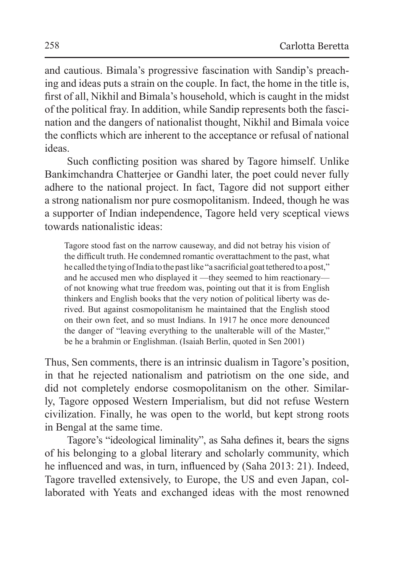and cautious. Bimala's progressive fascination with Sandip's preaching and ideas puts a strain on the couple. In fact, the home in the title is, first of all, Nikhil and Bimala's household, which is caught in the midst of the political fray. In addition, while Sandip represents both the fascination and the dangers of nationalist thought, Nikhil and Bimala voice the conflicts which are inherent to the acceptance or refusal of national ideas.

Such conflicting position was shared by Tagore himself. Unlike Bankimchandra Chatterjee or Gandhi later, the poet could never fully adhere to the national project. In fact, Tagore did not support either a strong nationalism nor pure cosmopolitanism. Indeed, though he was a supporter of Indian independence, Tagore held very sceptical views towards nationalistic ideas:

Tagore stood fast on the narrow causeway, and did not betray his vision of the difficult truth. He condemned romantic overattachment to the past, what he called the tying of India to the past like "a sacrificial goat tethered to a post," and he accused men who displayed it —they seemed to him reactionary of not knowing what true freedom was, pointing out that it is from English thinkers and English books that the very notion of political liberty was derived. But against cosmopolitanism he maintained that the English stood on their own feet, and so must Indians. In 1917 he once more denounced the danger of "leaving everything to the unalterable will of the Master," be he a brahmin or Englishman. (Isaiah Berlin, quoted in Sen 2001)

Thus, Sen comments, there is an intrinsic dualism in Tagore's position, in that he rejected nationalism and patriotism on the one side, and did not completely endorse cosmopolitanism on the other. Similarly, Tagore opposed Western Imperialism, but did not refuse Western civilization. Finally, he was open to the world, but kept strong roots in Bengal at the same time.

Tagore's "ideological liminality", as Saha defines it, bears the signs of his belonging to a global literary and scholarly community, which he influenced and was, in turn, influenced by (Saha 2013: 21). Indeed, Tagore travelled extensively, to Europe, the US and even Japan, collaborated with Yeats and exchanged ideas with the most renowned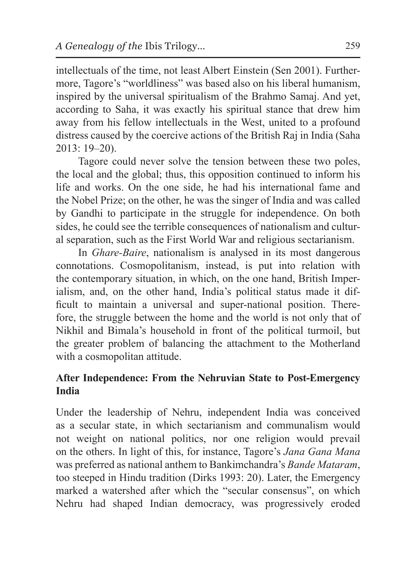intellectuals of the time, not least Albert Einstein (Sen 2001). Furthermore, Tagore's "worldliness" was based also on his liberal humanism, inspired by the universal spiritualism of the Brahmo Samaj. And yet, according to Saha, it was exactly his spiritual stance that drew him away from his fellow intellectuals in the West, united to a profound distress caused by the coercive actions of the British Raj in India (Saha 2013: 19–20).

Tagore could never solve the tension between these two poles, the local and the global; thus, this opposition continued to inform his life and works. On the one side, he had his international fame and the Nobel Prize; on the other, he was the singer of India and was called by Gandhi to participate in the struggle for independence. On both sides, he could see the terrible consequences of nationalism and cultural separation, such as the First World War and religious sectarianism.

In *Ghare-Baire*, nationalism is analysed in its most dangerous connotations. Cosmopolitanism, instead, is put into relation with the contemporary situation, in which, on the one hand, British Imperialism, and, on the other hand, India's political status made it difficult to maintain a universal and super-national position. Therefore, the struggle between the home and the world is not only that of Nikhil and Bimala's household in front of the political turmoil, but the greater problem of balancing the attachment to the Motherland with a cosmopolitan attitude.

# **After Independence: From the Nehruvian State to Post-Emergency India**

Under the leadership of Nehru, independent India was conceived as a secular state, in which sectarianism and communalism would not weight on national politics, nor one religion would prevail on the others. In light of this, for instance, Tagore's *Jana Gana Mana* was preferred as national anthem to Bankimchandra's *Bande Mataram*, too steeped in Hindu tradition (Dirks 1993: 20). Later, the Emergency marked a watershed after which the "secular consensus", on which Nehru had shaped Indian democracy, was progressively eroded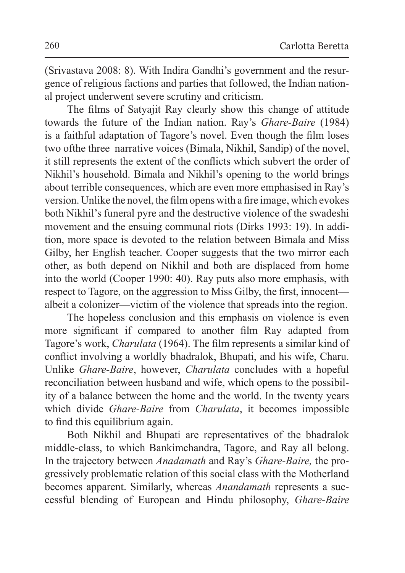(Srivastava 2008: 8). With Indira Gandhi's government and the resurgence of religious factions and parties that followed, the Indian national project underwent severe scrutiny and criticism.

The films of Satyajit Ray clearly show this change of attitude towards the future of the Indian nation. Ray's *Ghare-Baire* (1984) is a faithful adaptation of Tagore's novel. Even though the film loses two ofthe three narrative voices (Bimala, Nikhil, Sandip) of the novel, it still represents the extent of the conflicts which subvert the order of Nikhil's household. Bimala and Nikhil's opening to the world brings about terrible consequences, which are even more emphasised in Ray's version. Unlike the novel, the film opens with a fire image, which evokes both Nikhil's funeral pyre and the destructive violence of the swadeshi movement and the ensuing communal riots (Dirks 1993: 19). In addition, more space is devoted to the relation between Bimala and Miss Gilby, her English teacher. Cooper suggests that the two mirror each other, as both depend on Nikhil and both are displaced from home into the world (Cooper 1990: 40). Ray puts also more emphasis, with respect to Tagore, on the aggression to Miss Gilby, the first, innocent albeit a colonizer—victim of the violence that spreads into the region.

The hopeless conclusion and this emphasis on violence is even more significant if compared to another film Ray adapted from Tagore's work, *Charulata* (1964). The film represents a similar kind of conflict involving a worldly bhadralok, Bhupati, and his wife, Charu. Unlike *Ghare-Baire*, however, *Charulata* concludes with a hopeful reconciliation between husband and wife, which opens to the possibility of a balance between the home and the world. In the twenty years which divide *Ghare-Baire* from *Charulata*, it becomes impossible to find this equilibrium again.

Both Nikhil and Bhupati are representatives of the bhadralok middle-class, to which Bankimchandra, Tagore, and Ray all belong. In the trajectory between *Anadamath* and Ray's *Ghare-Baire,* the progressively problematic relation of this social class with the Motherland becomes apparent. Similarly, whereas *Anandamath* represents a successful blending of European and Hindu philosophy, *Ghare-Baire*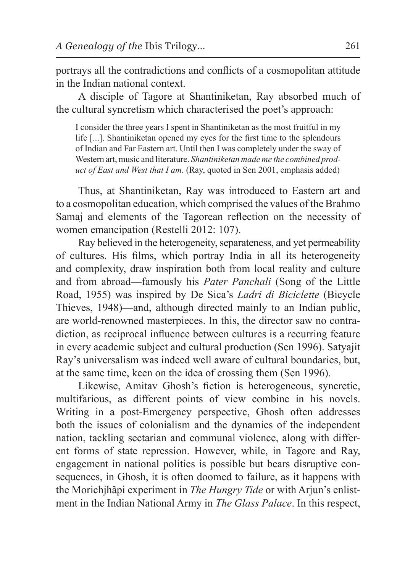portrays all the contradictions and conflicts of a cosmopolitan attitude in the Indian national context.

A disciple of Tagore at Shantiniketan, Ray absorbed much of the cultural syncretism which characterised the poet's approach:

I consider the three years I spent in Shantiniketan as the most fruitful in my life [...]. Shantiniketan opened my eyes for the first time to the splendours of Indian and Far Eastern art. Until then I was completely under the sway of Western art, music and literature. *Shantiniketan made me the combined product of East and West that I am*. (Ray, quoted in Sen 2001, emphasis added)

Thus, at Shantiniketan, Ray was introduced to Eastern art and to a cosmopolitan education, which comprised the values of the Brahmo Samaj and elements of the Tagorean reflection on the necessity of women emancipation (Restelli 2012: 107).

Ray believed in the heterogeneity, separateness, and yet permeability of cultures. His films, which portray India in all its heterogeneity and complexity, draw inspiration both from local reality and culture and from abroad—famously his *Pater Panchali* (Song of the Little Road, 1955) was inspired by De Sica's *Ladri di Biciclette* (Bicycle Thieves, 1948)—and, although directed mainly to an Indian public, are world-renowned masterpieces. In this, the director saw no contradiction, as reciprocal influence between cultures is a recurring feature in every academic subject and cultural production (Sen 1996). Satyajit Ray's universalism was indeed well aware of cultural boundaries, but, at the same time, keen on the idea of crossing them (Sen 1996).

Likewise, Amitav Ghosh's fiction is heterogeneous, syncretic, multifarious, as different points of view combine in his novels. Writing in a post-Emergency perspective, Ghosh often addresses both the issues of colonialism and the dynamics of the independent nation, tackling sectarian and communal violence, along with different forms of state repression. However, while, in Tagore and Ray, engagement in national politics is possible but bears disruptive consequences, in Ghosh, it is often doomed to failure, as it happens with the Morichjhãpi experiment in *The Hungry Tide* or with Arjun's enlistment in the Indian National Army in *The Glass Palace*. In this respect,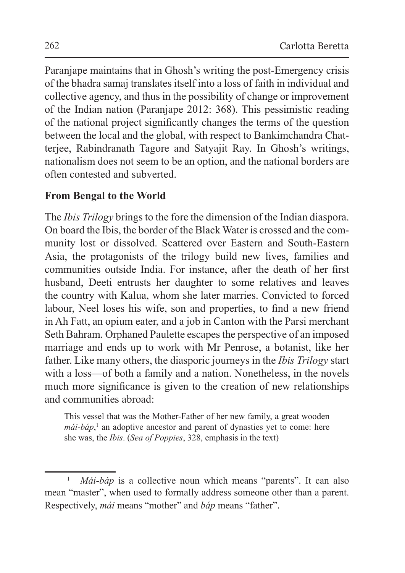Paranjape maintains that in Ghosh's writing the post-Emergency crisis of the bhadra samaj translates itself into a loss of faith in individual and collective agency, and thus in the possibility of change or improvement of the Indian nation (Paranjape 2012: 368). This pessimistic reading of the national project significantly changes the terms of the question between the local and the global, with respect to Bankimchandra Chatterjee, Rabindranath Tagore and Satyajit Ray. In Ghosh's writings, nationalism does not seem to be an option, and the national borders are often contested and subverted.

# **From Bengal to the World**

The *Ibis Trilogy* brings to the fore the dimension of the Indian diaspora. On board the Ibis, the border of the Black Water is crossed and the community lost or dissolved. Scattered over Eastern and South-Eastern Asia, the protagonists of the trilogy build new lives, families and communities outside India. For instance, after the death of her first husband, Deeti entrusts her daughter to some relatives and leaves the country with Kalua, whom she later marries. Convicted to forced labour, Neel loses his wife, son and properties, to find a new friend in Ah Fatt, an opium eater, and a job in Canton with the Parsi merchant Seth Bahram. Orphaned Paulette escapes the perspective of an imposed marriage and ends up to work with Mr Penrose, a botanist, like her father. Like many others, the diasporic journeys in the *Ibis Trilogy* start with a loss—of both a family and a nation. Nonetheless, in the novels much more significance is given to the creation of new relationships and communities abroad:

This vessel that was the Mother-Father of her new family, a great wooden *mái-báp*,<sup>1</sup> an adoptive ancestor and parent of dynasties yet to come: here she was, the *Ibis*. (*Sea of Poppies*, 328, emphasis in the text)

<sup>&</sup>lt;sup>1</sup> *Mái-báp* is a collective noun which means "parents". It can also mean "master", when used to formally address someone other than a parent. Respectively, *mái* means "mother" and *báp* means "father".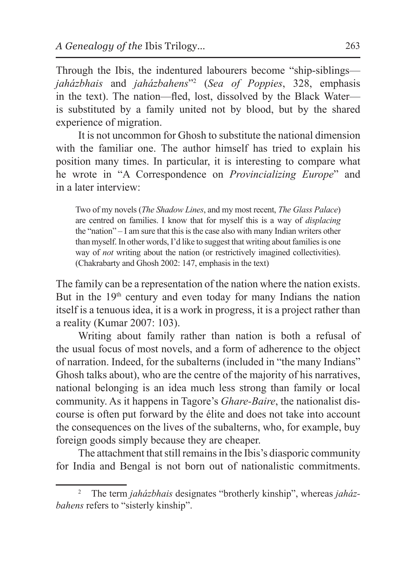Through the Ibis, the indentured labourers become "ship-siblings *jaházbhais* and *jaházbahens*"2 (*Sea of Poppies*, 328, emphasis in the text). The nation—fled, lost, dissolved by the Black Water is substituted by a family united not by blood, but by the shared experience of migration.

It is not uncommon for Ghosh to substitute the national dimension with the familiar one. The author himself has tried to explain his position many times. In particular, it is interesting to compare what he wrote in "A Correspondence on *Provincializing Europe*" and in a later interview:

Two of my novels (*The Shadow Lines*, and my most recent, *The Glass Palace*) are centred on families. I know that for myself this is a way of *displacing* the "nation" – I am sure that this is the case also with many Indian writers other than myself. In other words, I'd like to suggest that writing about families is one way of *not* writing about the nation (or restrictively imagined collectivities). (Chakrabarty and Ghosh 2002: 147, emphasis in the text)

The family can be a representation of the nation where the nation exists. But in the  $19<sup>th</sup>$  century and even today for many Indians the nation itself is a tenuous idea, it is a work in progress, it is a project rather than a reality (Kumar 2007: 103).

Writing about family rather than nation is both a refusal of the usual focus of most novels, and a form of adherence to the object of narration. Indeed, for the subalterns (included in "the many Indians" Ghosh talks about), who are the centre of the majority of his narratives, national belonging is an idea much less strong than family or local community. As it happens in Tagore's *Ghare-Baire*, the nationalist discourse is often put forward by the élite and does not take into account the consequences on the lives of the subalterns, who, for example, buy foreign goods simply because they are cheaper.

The attachment that still remains in the Ibis's diasporic community for India and Bengal is not born out of nationalistic commitments.

<sup>2</sup> The term *jaházbhais* designates "brotherly kinship", whereas *jaházbahens* refers to "sisterly kinship".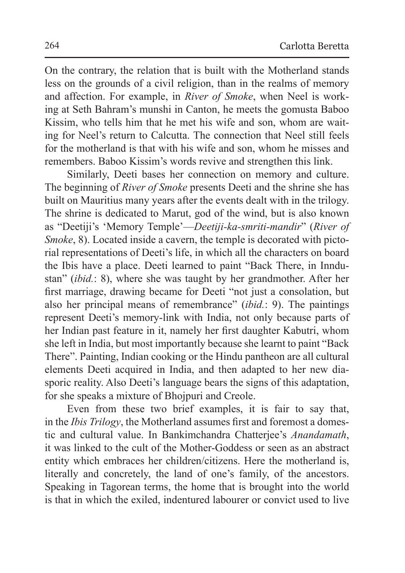On the contrary, the relation that is built with the Motherland stands less on the grounds of a civil religion, than in the realms of memory and affection. For example, in *River of Smoke*, when Neel is working at Seth Bahram's munshi in Canton, he meets the gomusta Baboo Kissim, who tells him that he met his wife and son, whom are waiting for Neel's return to Calcutta. The connection that Neel still feels for the motherland is that with his wife and son, whom he misses and remembers. Baboo Kissim's words revive and strengthen this link.

Similarly, Deeti bases her connection on memory and culture. The beginning of *River of Smoke* presents Deeti and the shrine she has built on Mauritius many years after the events dealt with in the trilogy. The shrine is dedicated to Marut, god of the wind, but is also known as "Deetiji's 'Memory Temple'—*Deetiji-ka-smriti-mandir*" (*River of Smoke*, 8). Located inside a cavern, the temple is decorated with pictorial representations of Deeti's life, in which all the characters on board the Ibis have a place. Deeti learned to paint "Back There, in Inndustan" (*ibid.*: 8), where she was taught by her grandmother. After her first marriage, drawing became for Deeti "not just a consolation, but also her principal means of remembrance" (*ibid.*: 9). The paintings represent Deeti's memory-link with India, not only because parts of her Indian past feature in it, namely her first daughter Kabutri, whom she left in India, but most importantly because she learnt to paint "Back There". Painting, Indian cooking or the Hindu pantheon are all cultural elements Deeti acquired in India, and then adapted to her new diasporic reality. Also Deeti's language bears the signs of this adaptation, for she speaks a mixture of Bhojpuri and Creole.

Even from these two brief examples, it is fair to say that, in the *Ibis Trilogy*, the Motherland assumes first and foremost a domestic and cultural value. In Bankimchandra Chatterjee's *Anandamath*, it was linked to the cult of the Mother-Goddess or seen as an abstract entity which embraces her children/citizens. Here the motherland is, literally and concretely, the land of one's family, of the ancestors. Speaking in Tagorean terms, the home that is brought into the world is that in which the exiled, indentured labourer or convict used to live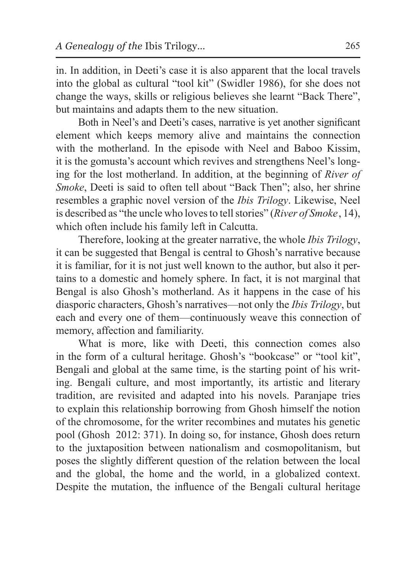in. In addition, in Deeti's case it is also apparent that the local travels into the global as cultural "tool kit" (Swidler 1986), for she does not change the ways, skills or religious believes she learnt "Back There", but maintains and adapts them to the new situation.

Both in Neel's and Deeti's cases, narrative is yet another significant element which keeps memory alive and maintains the connection with the motherland. In the episode with Neel and Baboo Kissim, it is the gomusta's account which revives and strengthens Neel's longing for the lost motherland. In addition, at the beginning of *River of Smoke*, Deeti is said to often tell about "Back Then"; also, her shrine resembles a graphic novel version of the *Ibis Trilogy*. Likewise, Neel is described as "the uncle who loves to tell stories" (*River of Smoke* , 14), which often include his family left in Calcutta.

Therefore, looking at the greater narrative, the whole *Ibis Trilogy*, it can be suggested that Bengal is central to Ghosh's narrative because it is familiar, for it is not just well known to the author, but also it pertains to a domestic and homely sphere. In fact, it is not marginal that Bengal is also Ghosh's motherland. As it happens in the case of his diasporic characters, Ghosh's narratives—not only the *Ibis Trilogy*, but each and every one of them—continuously weave this connection of memory, affection and familiarity.

What is more, like with Deeti, this connection comes also in the form of a cultural heritage. Ghosh's "bookcase" or "tool kit", Bengali and global at the same time, is the starting point of his writing. Bengali culture, and most importantly, its artistic and literary tradition, are revisited and adapted into his novels. Paranjape tries to explain this relationship borrowing from Ghosh himself the notion of the chromosome, for the writer recombines and mutates his genetic pool (Ghosh 2012: 371). In doing so, for instance, Ghosh does return to the juxtaposition between nationalism and cosmopolitanism, but poses the slightly different question of the relation between the local and the global, the home and the world, in a globalized context. Despite the mutation, the influence of the Bengali cultural heritage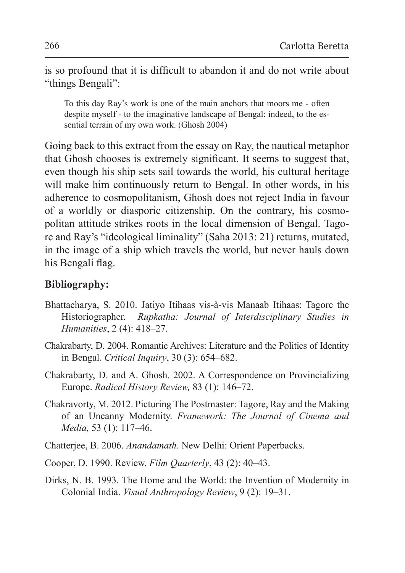is so profound that it is difficult to abandon it and do not write about "things Bengali":

To this day Ray's work is one of the main anchors that moors me - often despite myself - to the imaginative landscape of Bengal: indeed, to the essential terrain of my own work. (Ghosh 2004)

Going back to this extract from the essay on Ray, the nautical metaphor that Ghosh chooses is extremely significant. It seems to suggest that, even though his ship sets sail towards the world, his cultural heritage will make him continuously return to Bengal. In other words, in his adherence to cosmopolitanism, Ghosh does not reject India in favour of a worldly or diasporic citizenship. On the contrary, his cosmopolitan attitude strikes roots in the local dimension of Bengal. Tagore and Ray's "ideological liminality" (Saha 2013: 21) returns, mutated, in the image of a ship which travels the world, but never hauls down his Bengali flag.

# **Bibliography:**

- Bhattacharya, S. 2010. Jatiyo Itihaas vis-à-vis Manaab Itihaas: Tagore the Historiographer. *Rupkatha: Journal of Interdisciplinary Studies in Humanities*, 2 (4): 418–27.
- Chakrabarty, D. 2004. Romantic Archives: Literature and the Politics of Identity in Bengal. *Critical Inquiry*, 30 (3): 654–682.
- Chakrabarty, D. and A. Ghosh. 2002. A Correspondence on Provincializing Europe. *Radical History Review,* 83 (1): 146–72.
- Chakravorty, M. 2012. Picturing The Postmaster: Tagore, Ray and the Making of an Uncanny Modernity. *Framework: The Journal of Cinema and Media,* 53 (1): 117–46.
- Chatterjee, B. 2006. *Anandamath*. New Delhi: Orient Paperbacks.
- Cooper, D. 1990. Review. *Film Quarterly*, 43 (2): 40–43.
- Dirks, N. B. 1993. The Home and the World: the Invention of Modernity in Colonial India. *Visual Anthropology Review*, 9 (2): 19–31.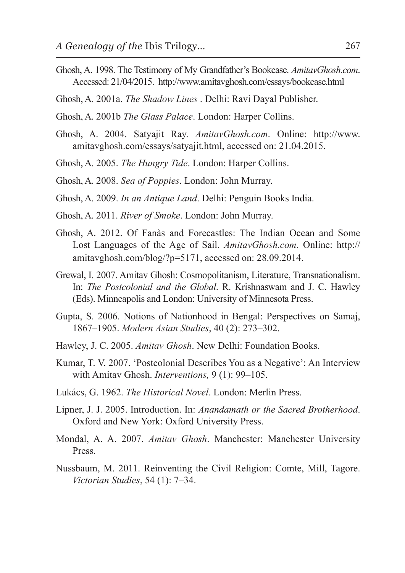- Ghosh, A. 1998. The Testimony of My Grandfather's Bookcase. *AmitavGhosh.com*. Accessed: 21/04/2015. http://www.amitavghosh.com/essays/bookcase.html
- Ghosh, A. 2001a. *The Shadow Lines* . Delhi: Ravi Dayal Publisher.
- Ghosh, A. 2001b *The Glass Palace*. London: Harper Collins.
- Ghosh, A. 2004. Satyajit Ray. *AmitavGhosh.com*. Online: http://www. amitavghosh.com/essays/satyajit.html, accessed on: 21.04.2015.
- Ghosh, A. 2005. *The Hungry Tide*. London: Harper Collins.
- Ghosh, A. 2008. *Sea of Poppies*. London: John Murray.
- Ghosh, A. 2009. *In an Antique Land*. Delhi: Penguin Books India.
- Ghosh, A. 2011. *River of Smoke*. London: John Murray.
- Ghosh, A. 2012. Of Fanàs and Forecastles: The Indian Ocean and Some Lost Languages of the Age of Sail. *AmitavGhosh.com*. Online: http:// amitavghosh.com/blog/?p=5171, accessed on: 28.09.2014.
- Grewal, I. 2007. Amitav Ghosh: Cosmopolitanism, Literature, Transnationalism. In: *The Postcolonial and the Global*. R. Krishnaswam and J. C. Hawley (Eds). Minneapolis and London: University of Minnesota Press.
- Gupta, S. 2006. Notions of Nationhood in Bengal: Perspectives on Samaj, 1867–1905. *Modern Asian Studies*, 40 (2): 273–302.
- Hawley, J. C. 2005. *Amitav Ghosh*. New Delhi: Foundation Books.
- Kumar, T. V. 2007. 'Postcolonial Describes You as a Negative': An Interview with Amitav Ghosh. *Interventions,* 9 (1): 99–105.
- Lukács, G. 1962. *The Historical Novel*. London: Merlin Press.
- Lipner, J. J. 2005. Introduction. In: *Anandamath or the Sacred Brotherhood*. Oxford and New York: Oxford University Press.
- Mondal, A. A. 2007. *Amitav Ghosh*. Manchester: Manchester University Press.
- Nussbaum, M. 2011. Reinventing the Civil Religion: Comte, Mill, Tagore. *Victorian Studies*, 54 (1): 7–34.